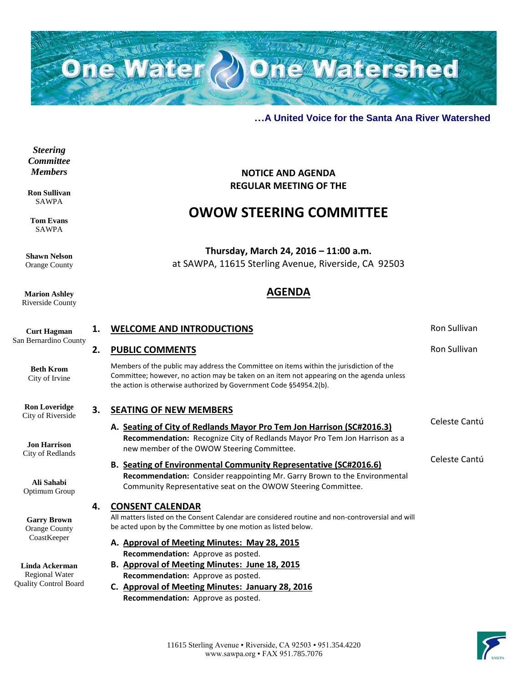

**NOTICE AND AGENDA REGULAR MEETING OF THE**

**OWOW STEERING COMMITTEE**

**Thursday, March 24, 2016 – 11:00 a.m.** at SAWPA, 11615 Sterling Avenue, Riverside, CA 92503

**AGENDA**

### **…A United Voice for the Santa Ana River Watershed**

*Steering Committee Members*

**Ron Sullivan** SAWPA

**Tom Evans** SAWPA

**Shawn Nelson** Orange County

**Marion Ashley** Riverside County

**Curt Hagman** San Bernardino County **Beth Krom** City of Irvine **Ron Loveridge** City of Riverside **Jon Harrison** City of Redlands **Ali Sahabi** Optimum Group **Garry Brown** Orange County CoastKeeper **Linda Ackerman** Regional Water Quality Control Board **1. WELCOME AND INTRODUCTIONS Ron Sullivan 2. PUBLIC COMMENTS** Ron Sullivan Members of the public may address the Committee on items within the jurisdiction of the Committee; however, no action may be taken on an item not appearing on the agenda unless the action is otherwise authorized by Government Code §54954.2(b). **3. SEATING OF NEW MEMBERS A. Seating of City of Redlands Mayor Pro Tem Jon Harrison (SC#2016.3) Recommendation:** Recognize City of Redlands Mayor Pro Tem Jon Harrison as a new member of the OWOW Steering Committee. Celeste Cantú **B. Seating of Environmental Community Representative (SC#2016.6) Recommendation:** Consider reappointing Mr. Garry Brown to the Environmental Community Representative seat on the OWOW Steering Committee. Celeste Cantú **4. CONSENT CALENDAR** All matters listed on the Consent Calendar are considered routine and non-controversial and will be acted upon by the Committee by one motion as listed below. **A. Approval of Meeting Minutes: May 28, 2015 Recommendation:** Approve as posted. **B. Approval of Meeting Minutes: June 18, 2015 Recommendation:** Approve as posted. **C. Approval of Meeting Minutes: January 28, 2016 Recommendation:** Approve as posted.